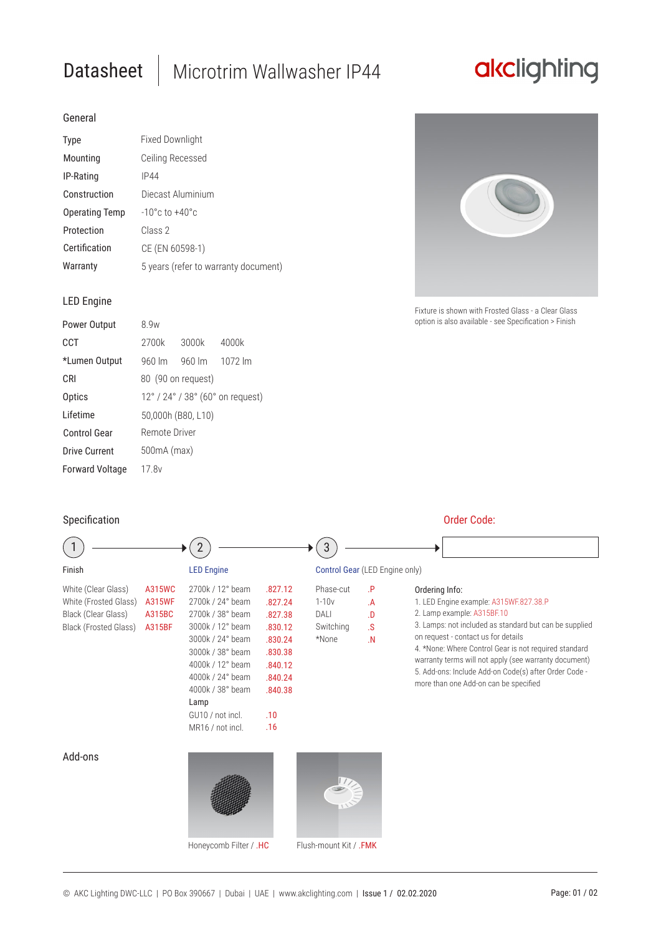# Datasheet | Microtrim Wallwasher IP44

## akclighting

### General

| <b>Type</b>           | Fixed Downlight                      |  |  |  |
|-----------------------|--------------------------------------|--|--|--|
| Mounting              | Ceiling Recessed                     |  |  |  |
| IP-Rating             | IP44                                 |  |  |  |
| Construction          | Diecast Aluminium                    |  |  |  |
| <b>Operating Temp</b> | $-10^{\circ}$ c to $+40^{\circ}$ c   |  |  |  |
| Protection            | Class 2                              |  |  |  |
| Certification         | CE (EN 60598-1)                      |  |  |  |
| Warranty              | 5 years (refer to warranty document) |  |  |  |

### LED Engine

| Power Output           | 8 9w                             |        |         |  |  |
|------------------------|----------------------------------|--------|---------|--|--|
| CCT                    | 2700k                            | 3000k  | 4000k   |  |  |
| *Lumen Output          | $960 \, \text{Im}$               | 960 lm | 1072 lm |  |  |
| <b>CRI</b>             | 80 (90 on request)               |        |         |  |  |
| Optics                 | 12° / 24° / 38° (60° on request) |        |         |  |  |
| I ifetime              | 50,000h (B80, L10)               |        |         |  |  |
| Control Gear           | Remote Driver                    |        |         |  |  |
| Drive Current          | 500mA (max)                      |        |         |  |  |
| <b>Forward Voltage</b> | 17.8 <sub>v</sub>                |        |         |  |  |

### Specification **Order Code: Containers** Order Code:



Fixture is shown with Frosted Glass - a Clear Glass option is also available - see Specification > Finish

|                                                                                              |                                             |                                                                                                                                                                                                                                  |                                                                                                               | 3                                                  |                                                                  |                                                                                                                                                                                                                                                                                                                                                                                                             |
|----------------------------------------------------------------------------------------------|---------------------------------------------|----------------------------------------------------------------------------------------------------------------------------------------------------------------------------------------------------------------------------------|---------------------------------------------------------------------------------------------------------------|----------------------------------------------------|------------------------------------------------------------------|-------------------------------------------------------------------------------------------------------------------------------------------------------------------------------------------------------------------------------------------------------------------------------------------------------------------------------------------------------------------------------------------------------------|
| Finish                                                                                       |                                             | <b>LED Engine</b>                                                                                                                                                                                                                |                                                                                                               | Control Gear (LED Engine only)                     |                                                                  |                                                                                                                                                                                                                                                                                                                                                                                                             |
| White (Clear Glass)<br>White (Frosted Glass)<br>Black (Clear Glass)<br>Black (Frosted Glass) | A315WC<br><b>A315WF</b><br>A315BC<br>A315BF | 2700k / 12° beam<br>2700k / 24° beam<br>2700k / 38° beam<br>3000k / 12° beam<br>3000k / 24° beam<br>3000k / 38° beam<br>4000k / 12° beam<br>4000k / 24° beam<br>4000k / 38° beam<br>Lamp<br>GU10 / not incl.<br>MR16 / not incl. | .827.12<br>.827.24<br>.827.38<br>.830.12<br>.830.24<br>.830.38<br>.840.12<br>.840.24<br>.840.38<br>.10<br>.16 | Phase-cut<br>$1-10v$<br>DALI<br>Switching<br>*None | $\mathsf{P}$<br>.A<br>$\Omega$<br>$\mathbf{s}$<br>$\overline{N}$ | Ordering Info:<br>1. LED Engine example: A315WF.827.38.P<br>2. Lamp example: A315BF.10<br>3. Lamps: not included as standard but can be supplied<br>on request - contact us for details<br>4. *None: Where Control Gear is not required standard<br>warranty terms will not apply (see warranty document)<br>5. Add-ons: Include Add-on Code(s) after Order Code -<br>more than one Add-on can be specified |
| Add-ons                                                                                      |                                             | Honeycomb Filter / .HC                                                                                                                                                                                                           |                                                                                                               | Flush-mount Kit / .FMK                             |                                                                  |                                                                                                                                                                                                                                                                                                                                                                                                             |